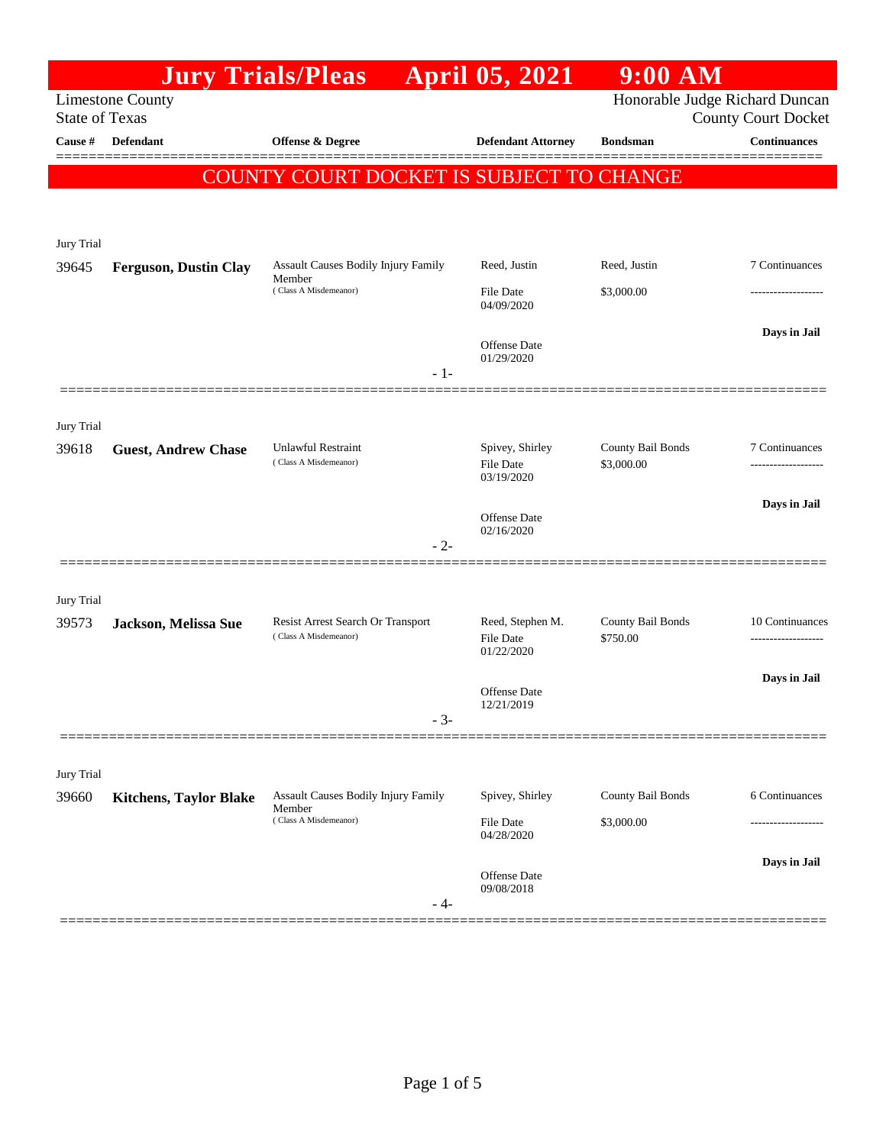|                       |                               | <b>Jury Trials/Pleas</b>                                               | <b>April 05, 2021</b>             | $9:00$ AM         |                                                              |
|-----------------------|-------------------------------|------------------------------------------------------------------------|-----------------------------------|-------------------|--------------------------------------------------------------|
| <b>State of Texas</b> | <b>Limestone County</b>       |                                                                        |                                   |                   | Honorable Judge Richard Duncan<br><b>County Court Docket</b> |
| Cause #               | Defendant                     | Offense & Degree                                                       | <b>Defendant Attorney</b>         | <b>Bondsman</b>   | <b>Continuances</b>                                          |
|                       |                               |                                                                        |                                   |                   |                                                              |
|                       |                               | COUNTY COURT DOCKET IS SUBJECT TO CHANGE                               |                                   |                   |                                                              |
|                       |                               |                                                                        |                                   |                   |                                                              |
| Jury Trial            |                               |                                                                        |                                   |                   |                                                              |
| 39645                 | <b>Ferguson, Dustin Clay</b>  | Assault Causes Bodily Injury Family<br>Member<br>(Class A Misdemeanor) | Reed, Justin                      | Reed, Justin      | 7 Continuances                                               |
|                       |                               |                                                                        | File Date<br>04/09/2020           | \$3,000.00        |                                                              |
|                       |                               |                                                                        |                                   |                   | Days in Jail                                                 |
|                       |                               |                                                                        | Offense Date<br>01/29/2020        |                   |                                                              |
|                       |                               | $-1-$                                                                  |                                   |                   |                                                              |
|                       |                               |                                                                        |                                   |                   |                                                              |
| Jury Trial<br>39618   | <b>Guest, Andrew Chase</b>    | <b>Unlawful Restraint</b>                                              | Spivey, Shirley                   | County Bail Bonds | 7 Continuances                                               |
|                       |                               | (Class A Misdemeanor)                                                  | <b>File Date</b><br>03/19/2020    | \$3,000.00        | -------------------                                          |
|                       |                               |                                                                        |                                   |                   | Days in Jail                                                 |
|                       |                               |                                                                        | Offense Date<br>02/16/2020        |                   |                                                              |
|                       |                               | $-2-$                                                                  |                                   |                   |                                                              |
|                       |                               |                                                                        |                                   |                   |                                                              |
| Jury Trial            |                               | Resist Arrest Search Or Transport                                      | Reed, Stephen M.                  | County Bail Bonds | 10 Continuances                                              |
| 39573                 | Jackson, Melissa Sue          | (Class A Misdemeanor)                                                  | File Date                         | \$750.00          | .                                                            |
|                       |                               |                                                                        | 01/22/2020                        |                   | Days in Jail                                                 |
|                       |                               |                                                                        | Offense Date<br>12/21/2019        |                   |                                                              |
|                       |                               | $-3-$                                                                  |                                   |                   |                                                              |
|                       |                               |                                                                        |                                   |                   |                                                              |
| Jury Trial            |                               |                                                                        |                                   |                   |                                                              |
| 39660                 | <b>Kitchens, Taylor Blake</b> | Assault Causes Bodily Injury Family<br>Member                          | Spivey, Shirley                   | County Bail Bonds | 6 Continuances                                               |
|                       |                               | (Class A Misdemeanor)                                                  | File Date<br>04/28/2020           | \$3,000.00        |                                                              |
|                       |                               |                                                                        |                                   |                   | Days in Jail                                                 |
|                       |                               |                                                                        | <b>Offense Date</b><br>09/08/2018 |                   |                                                              |
|                       |                               | - 4-                                                                   |                                   |                   |                                                              |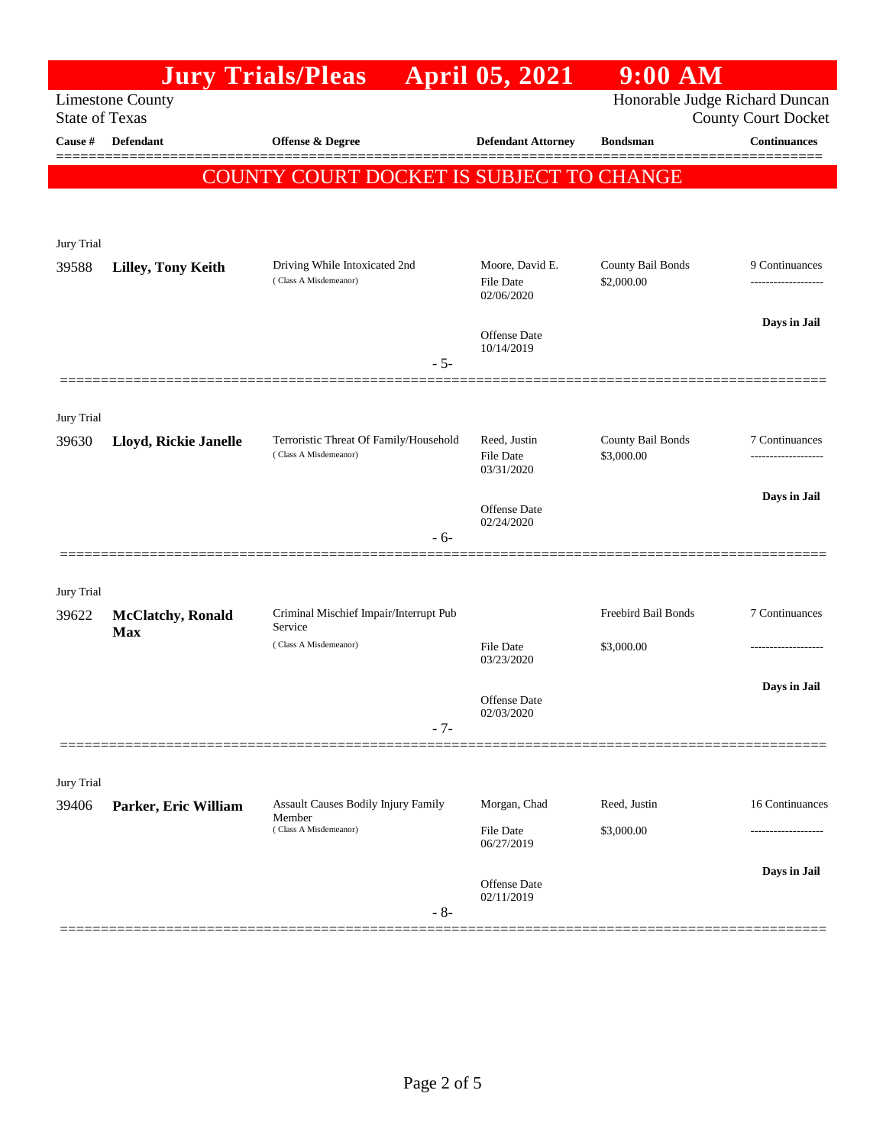|                                                                                    |                                         | <b>Jury Trials/Pleas</b>                                                      | <b>April 05, 2021</b>                      | $9:00$ AM                  |                                     |
|------------------------------------------------------------------------------------|-----------------------------------------|-------------------------------------------------------------------------------|--------------------------------------------|----------------------------|-------------------------------------|
| Honorable Judge Richard Duncan<br><b>Limestone County</b><br><b>State of Texas</b> |                                         |                                                                               |                                            |                            | <b>County Court Docket</b>          |
| Cause #                                                                            | Defendant                               | Offense & Degree                                                              | <b>Defendant Attorney</b>                  | <b>Bondsman</b>            | <b>Continuances</b>                 |
|                                                                                    |                                         | <b>COUNTY COURT DOCKET IS SUBJECT TO CHANGE</b>                               |                                            |                            | =======                             |
|                                                                                    |                                         |                                                                               |                                            |                            |                                     |
|                                                                                    |                                         |                                                                               |                                            |                            |                                     |
| Jury Trial                                                                         |                                         |                                                                               |                                            | County Bail Bonds          |                                     |
| 39588                                                                              | <b>Lilley, Tony Keith</b>               | Driving While Intoxicated 2nd<br>(Class A Misdemeanor)                        | Moore, David E.<br>File Date<br>02/06/2020 | \$2,000.00                 | 9 Continuances<br>----------------- |
|                                                                                    |                                         |                                                                               | Offense Date<br>10/14/2019                 |                            | Days in Jail                        |
|                                                                                    |                                         | $-5-$                                                                         |                                            |                            |                                     |
| Jury Trial                                                                         |                                         |                                                                               |                                            |                            |                                     |
| 39630                                                                              | Lloyd, Rickie Janelle                   | Terroristic Threat Of Family/Household                                        | Reed, Justin                               | County Bail Bonds          | 7 Continuances                      |
|                                                                                    |                                         | (Class A Misdemeanor)                                                         | File Date<br>03/31/2020                    | \$3,000.00                 |                                     |
|                                                                                    |                                         |                                                                               | Offense Date                               |                            | Days in Jail                        |
|                                                                                    |                                         | - 6-                                                                          | 02/24/2020                                 |                            |                                     |
|                                                                                    |                                         |                                                                               |                                            |                            |                                     |
| Jury Trial                                                                         |                                         |                                                                               |                                            |                            |                                     |
| 39622                                                                              | <b>McClatchy</b> , Ronald<br><b>Max</b> | Criminal Mischief Impair/Interrupt Pub<br>Service                             |                                            | Freebird Bail Bonds        | 7 Continuances                      |
|                                                                                    |                                         | (Class A Misdemeanor)                                                         | File Date<br>03/23/2020                    | \$3,000.00                 |                                     |
|                                                                                    |                                         |                                                                               |                                            |                            | Days in Jail                        |
|                                                                                    |                                         | $-7-$                                                                         | <b>Offense Date</b><br>02/03/2020          |                            |                                     |
|                                                                                    |                                         |                                                                               |                                            |                            |                                     |
| Jury Trial                                                                         |                                         |                                                                               |                                            |                            |                                     |
| 39406                                                                              | Parker, Eric William                    | <b>Assault Causes Bodily Injury Family</b><br>Member<br>(Class A Misdemeanor) | Morgan, Chad<br>File Date                  | Reed, Justin<br>\$3,000.00 | 16 Continuances                     |
|                                                                                    |                                         |                                                                               | 06/27/2019                                 |                            |                                     |
|                                                                                    |                                         | $-8-$                                                                         | Offense Date<br>02/11/2019                 |                            | Days in Jail                        |
|                                                                                    |                                         |                                                                               |                                            |                            |                                     |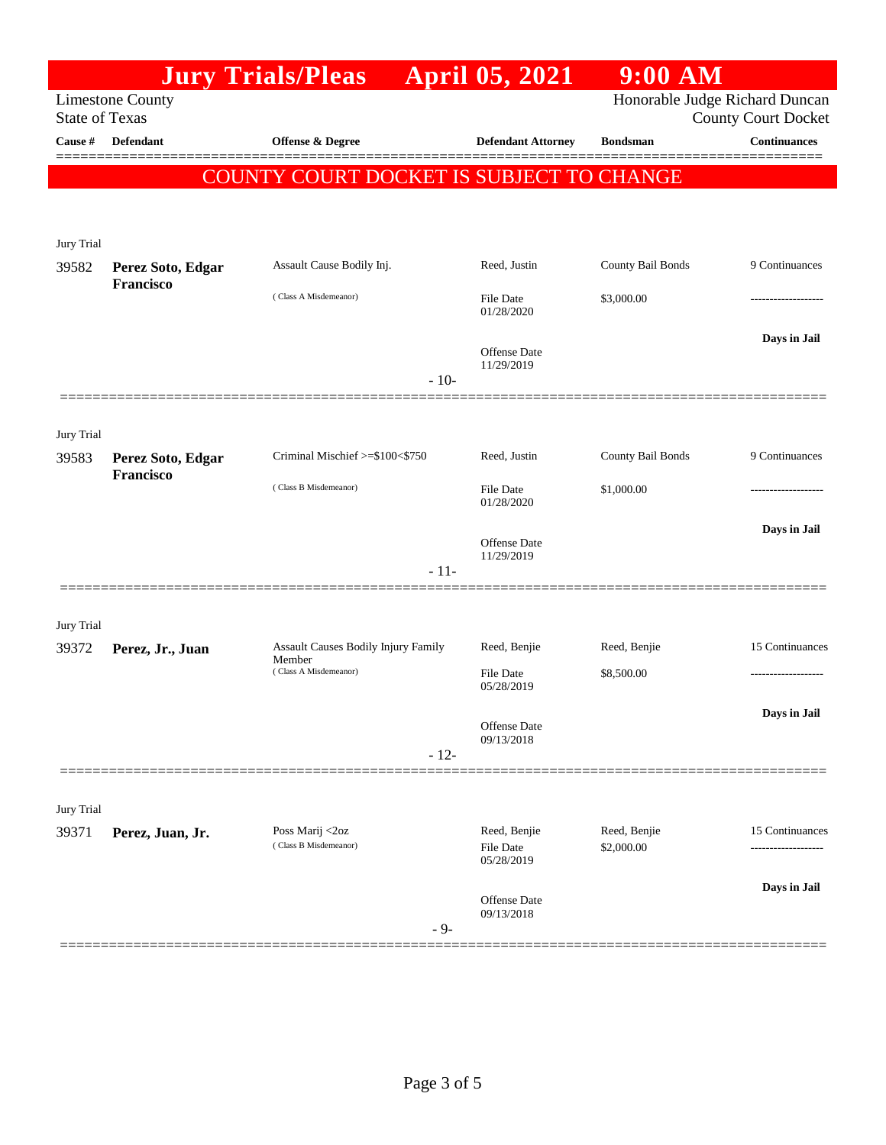|                       |                                | <b>Jury Trials/Pleas</b>                        |        | <b>April 05, 2021</b>                   | $9:00$ AM                  |                                                              |
|-----------------------|--------------------------------|-------------------------------------------------|--------|-----------------------------------------|----------------------------|--------------------------------------------------------------|
| <b>State of Texas</b> | <b>Limestone County</b>        |                                                 |        |                                         |                            | Honorable Judge Richard Duncan<br><b>County Court Docket</b> |
| Cause #               | Defendant                      | Offense & Degree                                |        | <b>Defendant Attorney</b>               | <b>Bondsman</b>            | <b>Continuances</b><br>=======                               |
|                       |                                | <b>COUNTY COURT DOCKET IS SUBJECT TO CHANGE</b> |        |                                         |                            |                                                              |
|                       |                                |                                                 |        |                                         |                            |                                                              |
| Jury Trial            |                                |                                                 |        |                                         |                            |                                                              |
| 39582                 | Perez Soto, Edgar<br>Francisco | Assault Cause Bodily Inj.                       |        | Reed, Justin                            | County Bail Bonds          | 9 Continuances                                               |
|                       |                                | (Class A Misdemeanor)                           |        | File Date<br>01/28/2020                 | \$3,000.00                 |                                                              |
|                       |                                |                                                 |        | Offense Date<br>11/29/2019              |                            | Days in Jail                                                 |
|                       |                                |                                                 | $-10-$ |                                         |                            |                                                              |
| Jury Trial            |                                |                                                 |        |                                         |                            |                                                              |
| 39583                 | Perez Soto, Edgar              | Criminal Mischief >=\$100<\$750                 |        | Reed, Justin                            | County Bail Bonds          | 9 Continuances                                               |
|                       | Francisco                      | (Class B Misdemeanor)                           |        | File Date<br>01/28/2020                 | \$1,000.00                 |                                                              |
|                       |                                |                                                 | - 11-  | <b>Offense Date</b><br>11/29/2019       |                            | Days in Jail                                                 |
|                       |                                |                                                 |        |                                         |                            |                                                              |
| Jury Trial            |                                |                                                 |        |                                         |                            |                                                              |
| 39372                 | Perez, Jr., Juan               | Assault Causes Bodily Injury Family<br>Member   |        | Reed, Benjie                            | Reed, Benjie               | 15 Continuances                                              |
|                       |                                | (Class A Misdemeanor)                           |        | File Date<br>05/28/2019                 | \$8,500.00                 | ------------------                                           |
|                       |                                |                                                 |        | Offense Date                            |                            | Days in Jail                                                 |
|                       |                                |                                                 | $-12-$ | 09/13/2018                              |                            |                                                              |
|                       |                                |                                                 |        |                                         |                            |                                                              |
| Jury Trial            |                                |                                                 |        |                                         |                            |                                                              |
| 39371                 | Perez, Juan, Jr.               | Poss Marij <2oz<br>(Class B Misdemeanor)        |        | Reed, Benjie<br>File Date<br>05/28/2019 | Reed, Benjie<br>\$2,000.00 | 15 Continuances<br>                                          |
|                       |                                |                                                 |        |                                         |                            | Days in Jail                                                 |
|                       |                                |                                                 | $-9-$  | <b>Offense Date</b><br>09/13/2018       |                            |                                                              |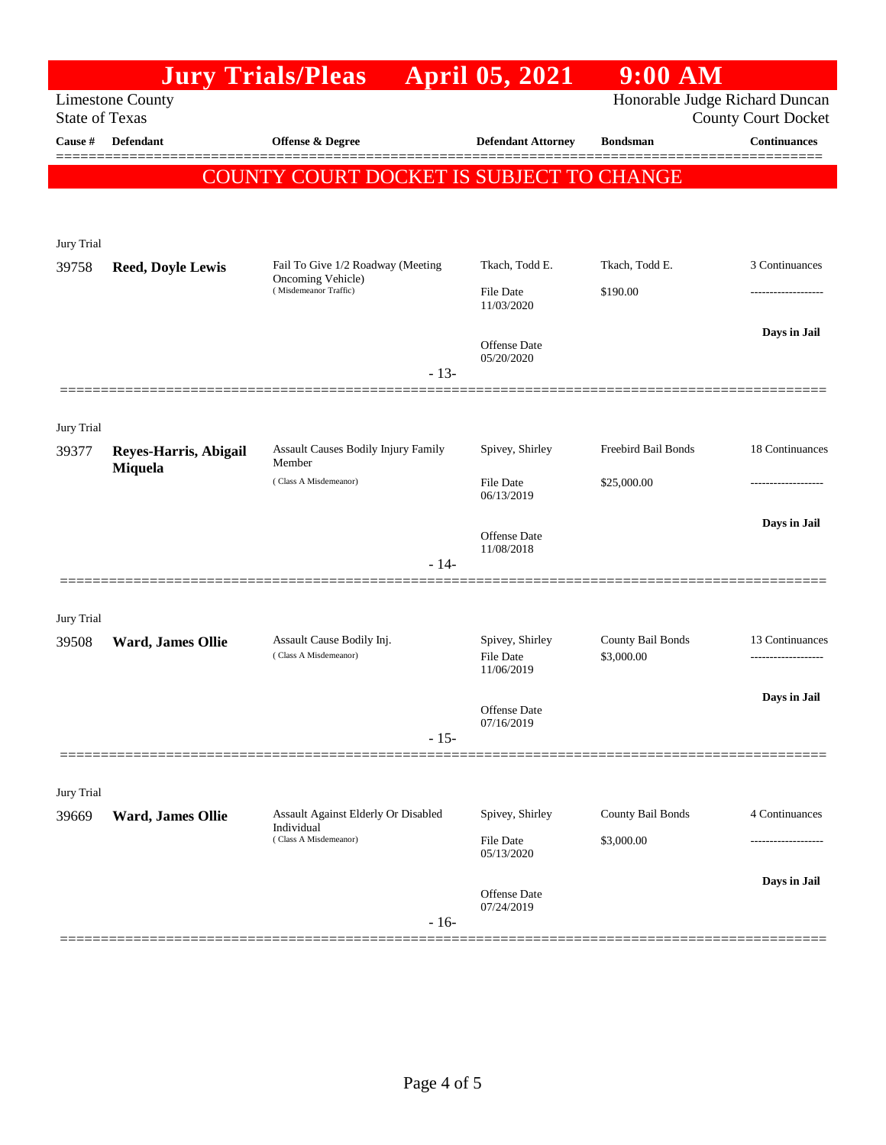|                       |                          | <b>Jury Trials/Pleas</b>                                                   | <b>April 05, 2021</b>                             | $9:00$ AM                       |                                        |
|-----------------------|--------------------------|----------------------------------------------------------------------------|---------------------------------------------------|---------------------------------|----------------------------------------|
| <b>State of Texas</b> | <b>Limestone County</b>  |                                                                            |                                                   | Honorable Judge Richard Duncan  | <b>County Court Docket</b>             |
| Cause #               | <b>Defendant</b>         | Offense & Degree                                                           | <b>Defendant Attorney</b>                         | <b>Bondsman</b>                 | Continuances                           |
|                       |                          | COUNTY COURT DOCKET IS SUBJECT TO CHANGE                                   |                                                   |                                 |                                        |
| Jury Trial            |                          |                                                                            |                                                   |                                 |                                        |
| 39758                 | <b>Reed, Doyle Lewis</b> | Fail To Give 1/2 Roadway (Meeting                                          | Tkach, Todd E.                                    | Tkach, Todd E.                  | 3 Continuances                         |
|                       |                          | Oncoming Vehicle)<br>(Misdemeanor Traffic)<br>$-13-$                       | <b>File Date</b><br>11/03/2020                    | \$190.00                        |                                        |
|                       |                          |                                                                            | Offense Date<br>05/20/2020                        |                                 | Days in Jail                           |
|                       |                          |                                                                            |                                                   |                                 |                                        |
| Jury Trial<br>39377   | Reyes-Harris, Abigail    | <b>Assault Causes Bodily Injury Family</b><br>Member                       | Spivey, Shirley                                   | Freebird Bail Bonds             | 18 Continuances                        |
|                       | Miquela                  | (Class A Misdemeanor)                                                      | <b>File Date</b><br>06/13/2019                    | \$25,000.00                     |                                        |
|                       |                          | $-14-$                                                                     | Offense Date<br>11/08/2018                        |                                 | Days in Jail                           |
|                       |                          |                                                                            |                                                   |                                 |                                        |
| Jury Trial<br>39508   | Ward, James Ollie        | Assault Cause Bodily Inj.<br>(Class A Misdemeanor)                         | Spivey, Shirley<br><b>File Date</b><br>11/06/2019 | County Bail Bonds<br>\$3,000.00 | 13 Continuances<br>------------------- |
|                       |                          | $-15-$                                                                     | Offense Date<br>07/16/2019                        |                                 | Days in Jail                           |
|                       |                          |                                                                            |                                                   |                                 |                                        |
| Jury Trial            |                          |                                                                            | Spivey, Shirley                                   | County Bail Bonds               | 4 Continuances                         |
| 39669                 | Ward, James Ollie        | Assault Against Elderly Or Disabled<br>Individual<br>(Class A Misdemeanor) | File Date<br>05/13/2020                           | \$3,000.00                      |                                        |
|                       |                          | $-16-$                                                                     | Offense Date<br>07/24/2019                        |                                 | Days in Jail                           |